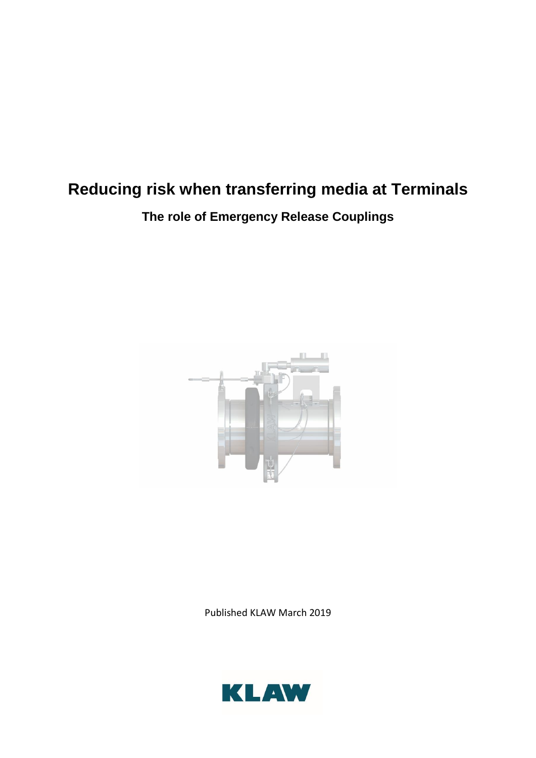# **Reducing risk when transferring media at Terminals**

## **The role of Emergency Release Couplings**



Published KLAW March 2019

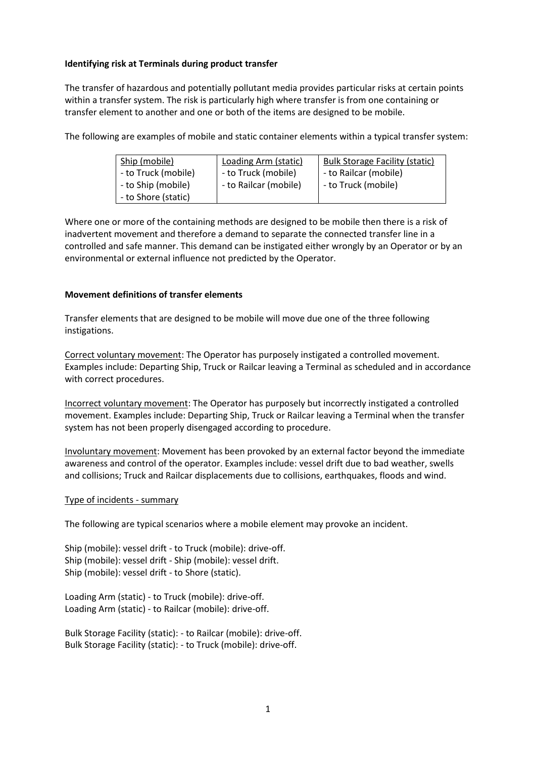## **Identifying risk at Terminals during product transfer**

The transfer of hazardous and potentially pollutant media provides particular risks at certain points within a transfer system. The risk is particularly high where transfer is from one containing or transfer element to another and one or both of the items are designed to be mobile.

The following are examples of mobile and static container elements within a typical transfer system:

| Ship (mobile)       | <b>Loading Arm (static)</b> | <b>Bulk Storage Facility (static)</b> |
|---------------------|-----------------------------|---------------------------------------|
| - to Truck (mobile) | - to Truck (mobile)         | - to Railcar (mobile)                 |
| - to Ship (mobile)  | - to Railcar (mobile)       | - to Truck (mobile)                   |
| - to Shore (static) |                             |                                       |

Where one or more of the containing methods are designed to be mobile then there is a risk of inadvertent movement and therefore a demand to separate the connected transfer line in a controlled and safe manner. This demand can be instigated either wrongly by an Operator or by an environmental or external influence not predicted by the Operator.

## **Movement definitions of transfer elements**

Transfer elements that are designed to be mobile will move due one of the three following instigations.

Correct voluntary movement: The Operator has purposely instigated a controlled movement. Examples include: Departing Ship, Truck or Railcar leaving a Terminal as scheduled and in accordance with correct procedures.

Incorrect voluntary movement: The Operator has purposely but incorrectly instigated a controlled movement. Examples include: Departing Ship, Truck or Railcar leaving a Terminal when the transfer system has not been properly disengaged according to procedure.

Involuntary movement: Movement has been provoked by an external factor beyond the immediate awareness and control of the operator. Examples include: vessel drift due to bad weather, swells and collisions; Truck and Railcar displacements due to collisions, earthquakes, floods and wind.

#### Type of incidents - summary

The following are typical scenarios where a mobile element may provoke an incident.

Ship (mobile): vessel drift - to Truck (mobile): drive-off. Ship (mobile): vessel drift - Ship (mobile): vessel drift. Ship (mobile): vessel drift - to Shore (static).

Loading Arm (static) - to Truck (mobile): drive-off. Loading Arm (static) - to Railcar (mobile): drive-off.

Bulk Storage Facility (static): - to Railcar (mobile): drive-off. Bulk Storage Facility (static): - to Truck (mobile): drive-off.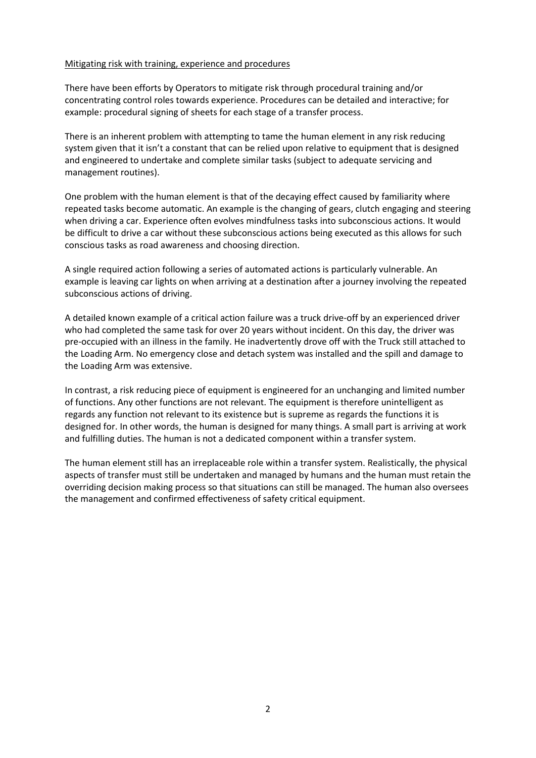#### Mitigating risk with training, experience and procedures

There have been efforts by Operators to mitigate risk through procedural training and/or concentrating control roles towards experience. Procedures can be detailed and interactive; for example: procedural signing of sheets for each stage of a transfer process.

There is an inherent problem with attempting to tame the human element in any risk reducing system given that it isn't a constant that can be relied upon relative to equipment that is designed and engineered to undertake and complete similar tasks (subject to adequate servicing and management routines).

One problem with the human element is that of the decaying effect caused by familiarity where repeated tasks become automatic. An example is the changing of gears, clutch engaging and steering when driving a car. Experience often evolves mindfulness tasks into subconscious actions. It would be difficult to drive a car without these subconscious actions being executed as this allows for such conscious tasks as road awareness and choosing direction.

A single required action following a series of automated actions is particularly vulnerable. An example is leaving car lights on when arriving at a destination after a journey involving the repeated subconscious actions of driving.

A detailed known example of a critical action failure was a truck drive-off by an experienced driver who had completed the same task for over 20 years without incident. On this day, the driver was pre-occupied with an illness in the family. He inadvertently drove off with the Truck still attached to the Loading Arm. No emergency close and detach system was installed and the spill and damage to the Loading Arm was extensive.

In contrast, a risk reducing piece of equipment is engineered for an unchanging and limited number of functions. Any other functions are not relevant. The equipment is therefore unintelligent as regards any function not relevant to its existence but is supreme as regards the functions it is designed for. In other words, the human is designed for many things. A small part is arriving at work and fulfilling duties. The human is not a dedicated component within a transfer system.

The human element still has an irreplaceable role within a transfer system. Realistically, the physical aspects of transfer must still be undertaken and managed by humans and the human must retain the overriding decision making process so that situations can still be managed. The human also oversees the management and confirmed effectiveness of safety critical equipment.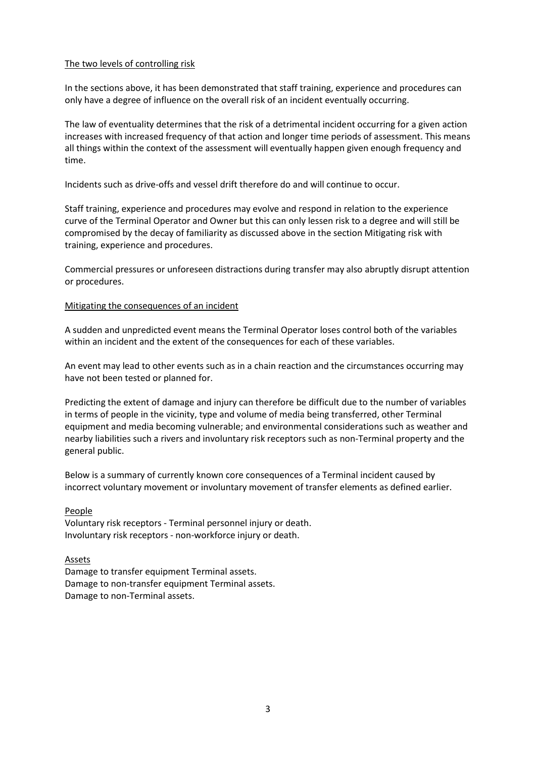## The two levels of controlling risk

In the sections above, it has been demonstrated that staff training, experience and procedures can only have a degree of influence on the overall risk of an incident eventually occurring.

The law of eventuality determines that the risk of a detrimental incident occurring for a given action increases with increased frequency of that action and longer time periods of assessment. This means all things within the context of the assessment will eventually happen given enough frequency and time.

Incidents such as drive-offs and vessel drift therefore do and will continue to occur.

Staff training, experience and procedures may evolve and respond in relation to the experience curve of the Terminal Operator and Owner but this can only lessen risk to a degree and will still be compromised by the decay of familiarity as discussed above in the section Mitigating risk with training, experience and procedures.

Commercial pressures or unforeseen distractions during transfer may also abruptly disrupt attention or procedures.

#### Mitigating the consequences of an incident

A sudden and unpredicted event means the Terminal Operator loses control both of the variables within an incident and the extent of the consequences for each of these variables.

An event may lead to other events such as in a chain reaction and the circumstances occurring may have not been tested or planned for.

Predicting the extent of damage and injury can therefore be difficult due to the number of variables in terms of people in the vicinity, type and volume of media being transferred, other Terminal equipment and media becoming vulnerable; and environmental considerations such as weather and nearby liabilities such a rivers and involuntary risk receptors such as non-Terminal property and the general public.

Below is a summary of currently known core consequences of a Terminal incident caused by incorrect voluntary movement or involuntary movement of transfer elements as defined earlier.

#### People

Voluntary risk receptors - Terminal personnel injury or death. Involuntary risk receptors - non-workforce injury or death.

#### Assets

Damage to transfer equipment Terminal assets. Damage to non-transfer equipment Terminal assets. Damage to non-Terminal assets.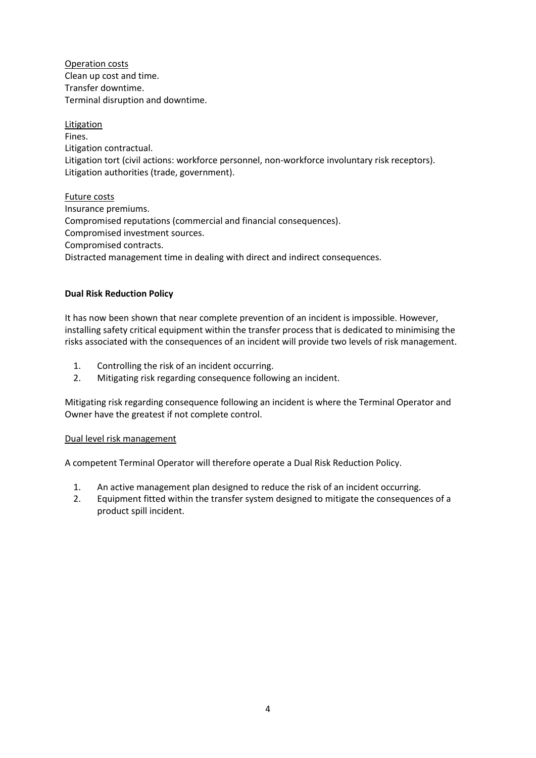Operation costs Clean up cost and time. Transfer downtime. Terminal disruption and downtime.

Litigation Fines. Litigation contractual. Litigation tort (civil actions: workforce personnel, non-workforce involuntary risk receptors). Litigation authorities (trade, government).

Future costs Insurance premiums. Compromised reputations (commercial and financial consequences). Compromised investment sources. Compromised contracts. Distracted management time in dealing with direct and indirect consequences.

## **Dual Risk Reduction Policy**

It has now been shown that near complete prevention of an incident is impossible. However, installing safety critical equipment within the transfer process that is dedicated to minimising the risks associated with the consequences of an incident will provide two levels of risk management.

- 1. Controlling the risk of an incident occurring.
- 2. Mitigating risk regarding consequence following an incident.

Mitigating risk regarding consequence following an incident is where the Terminal Operator and Owner have the greatest if not complete control.

## Dual level risk management

A competent Terminal Operator will therefore operate a Dual Risk Reduction Policy.

- 1. An active management plan designed to reduce the risk of an incident occurring.
- 2. Equipment fitted within the transfer system designed to mitigate the consequences of a product spill incident.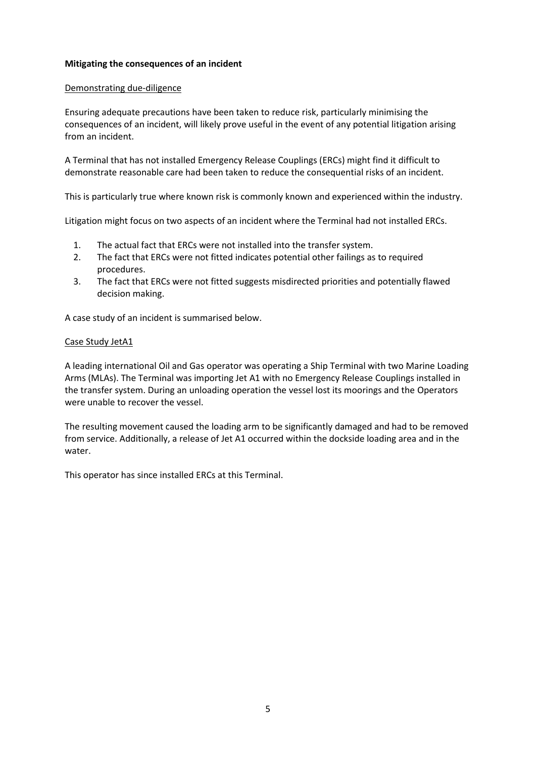## **Mitigating the consequences of an incident**

#### Demonstrating due-diligence

Ensuring adequate precautions have been taken to reduce risk, particularly minimising the consequences of an incident, will likely prove useful in the event of any potential litigation arising from an incident.

A Terminal that has not installed Emergency Release Couplings (ERCs) might find it difficult to demonstrate reasonable care had been taken to reduce the consequential risks of an incident.

This is particularly true where known risk is commonly known and experienced within the industry.

Litigation might focus on two aspects of an incident where the Terminal had not installed ERCs.

- 1. The actual fact that ERCs were not installed into the transfer system.
- 2. The fact that ERCs were not fitted indicates potential other failings as to required procedures.
- 3. The fact that ERCs were not fitted suggests misdirected priorities and potentially flawed decision making.

A case study of an incident is summarised below.

## Case Study JetA1

A leading international Oil and Gas operator was operating a Ship Terminal with two Marine Loading Arms (MLAs). The Terminal was importing Jet A1 with no Emergency Release Couplings installed in the transfer system. During an unloading operation the vessel lost its moorings and the Operators were unable to recover the vessel.

The resulting movement caused the loading arm to be significantly damaged and had to be removed from service. Additionally, a release of Jet A1 occurred within the dockside loading area and in the water.

This operator has since installed ERCs at this Terminal.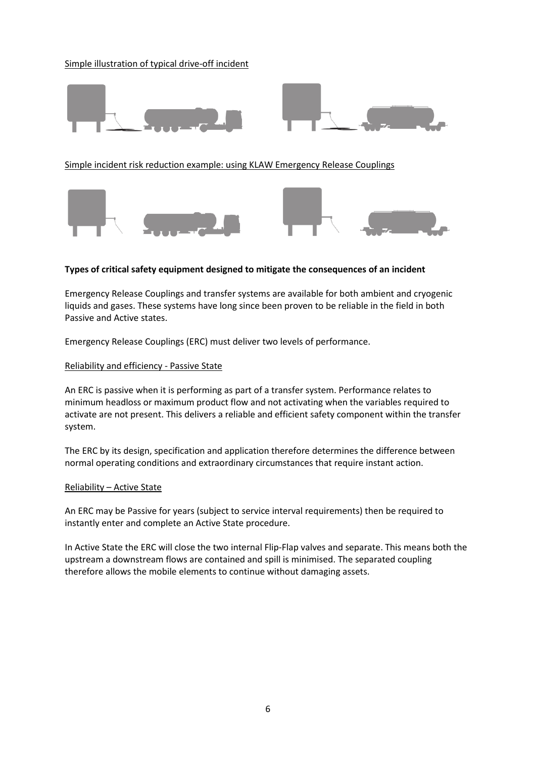## Simple illustration of typical drive-off incident





Simple incident risk reduction example: using KLAW Emergency Release Couplings



#### **Types of critical safety equipment designed to mitigate the consequences of an incident**

Emergency Release Couplings and transfer systems are available for both ambient and cryogenic liquids and gases. These systems have long since been proven to be reliable in the field in both Passive and Active states.

Emergency Release Couplings (ERC) must deliver two levels of performance.

#### Reliability and efficiency - Passive State

An ERC is passive when it is performing as part of a transfer system. Performance relates to minimum headloss or maximum product flow and not activating when the variables required to activate are not present. This delivers a reliable and efficient safety component within the transfer system.

The ERC by its design, specification and application therefore determines the difference between normal operating conditions and extraordinary circumstances that require instant action.

#### Reliability – Active State

An ERC may be Passive for years (subject to service interval requirements) then be required to instantly enter and complete an Active State procedure.

In Active State the ERC will close the two internal Flip-Flap valves and separate. This means both the upstream a downstream flows are contained and spill is minimised. The separated coupling therefore allows the mobile elements to continue without damaging assets.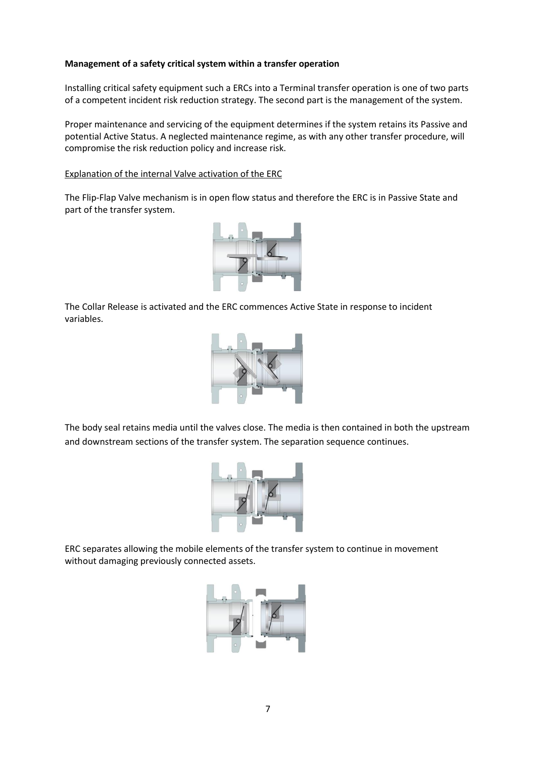## **Management of a safety critical system within a transfer operation**

Installing critical safety equipment such a ERCs into a Terminal transfer operation is one of two parts of a competent incident risk reduction strategy. The second part is the management of the system.

Proper maintenance and servicing of the equipment determines if the system retains its Passive and potential Active Status. A neglected maintenance regime, as with any other transfer procedure, will compromise the risk reduction policy and increase risk.

## Explanation of the internal Valve activation of the ERC

The Flip-Flap Valve mechanism is in open flow status and therefore the ERC is in Passive State and part of the transfer system.



The Collar Release is activated and the ERC commences Active State in response to incident variables.



The body seal retains media until the valves close. The media is then contained in both the upstream and downstream sections of the transfer system. The separation sequence continues.



ERC separates allowing the mobile elements of the transfer system to continue in movement without damaging previously connected assets.

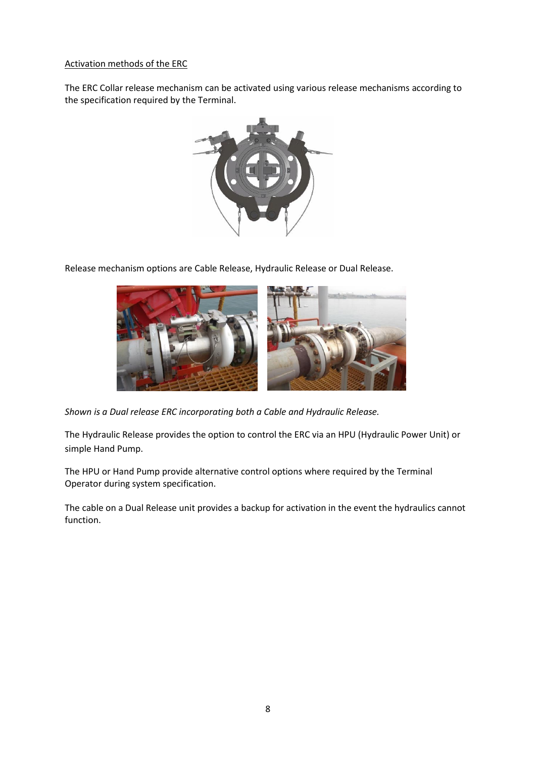## Activation methods of the ERC

The ERC Collar release mechanism can be activated using various release mechanisms according to the specification required by the Terminal.



Release mechanism options are Cable Release, Hydraulic Release or Dual Release.



*Shown is a Dual release ERC incorporating both a Cable and Hydraulic Release.*

The Hydraulic Release provides the option to control the ERC via an HPU (Hydraulic Power Unit) or simple Hand Pump.

The HPU or Hand Pump provide alternative control options where required by the Terminal Operator during system specification.

The cable on a Dual Release unit provides a backup for activation in the event the hydraulics cannot function.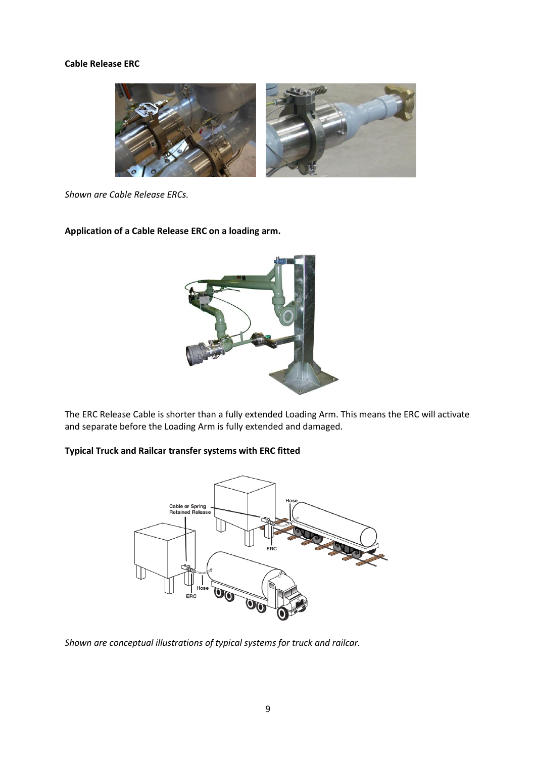#### **Cable Release ERC**



*Shown are Cable Release ERCs.*

#### **Application of a Cable Release ERC on a loading arm.**



The ERC Release Cable is shorter than a fully extended Loading Arm. This means the ERC will activate and separate before the Loading Arm is fully extended and damaged.

## **Typical Truck and Railcar transfer systems with ERC fitted**



*Shown are conceptual illustrations of typical systems for truck and railcar.*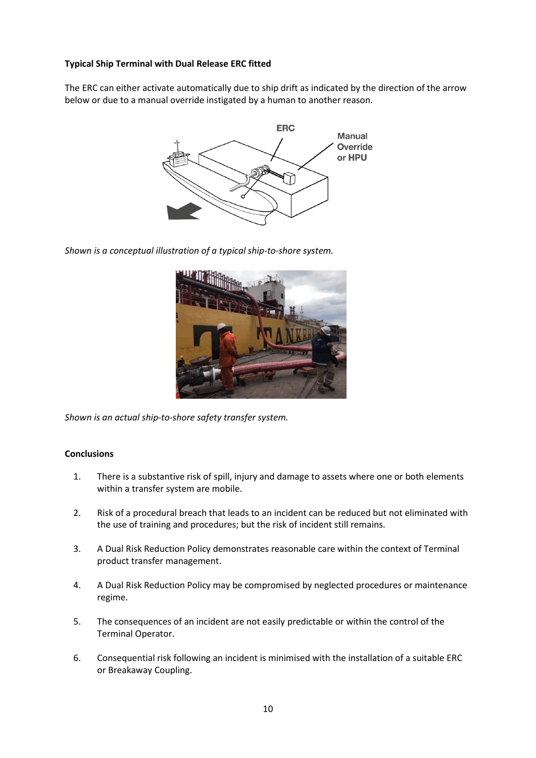## **Typical Ship Terminal with Dual Release ERC fitted**

The ERC can either activate automatically due to ship drift as indicated by the direction of the arrow below or due to a manual override instigated by a human to another reason.



*Shown is a conceptual illustration of a typical ship-to-shore system.*



*Shown is an actual ship-to-shore safety transfer system.*

#### **Conclusions**

- 1. There is a substantive risk of spill, injury and damage to assets where one or both elements within a transfer system are mobile.
- 2. Risk of a procedural breach that leads to an incident can be reduced but not eliminated with the use of training and procedures; but the risk of incident still remains.
- 3. A Dual Risk Reduction Policy demonstrates reasonable care within the context of Terminal product transfer management.
- 4. A Dual Risk Reduction Policy may be compromised by neglected procedures or maintenance regime.
- 5. The consequences of an incident are not easily predictable or within the control of the Terminal Operator.
- 6. Consequential risk following an incident is minimised with the installation of a suitable ERC or Breakaway Coupling.